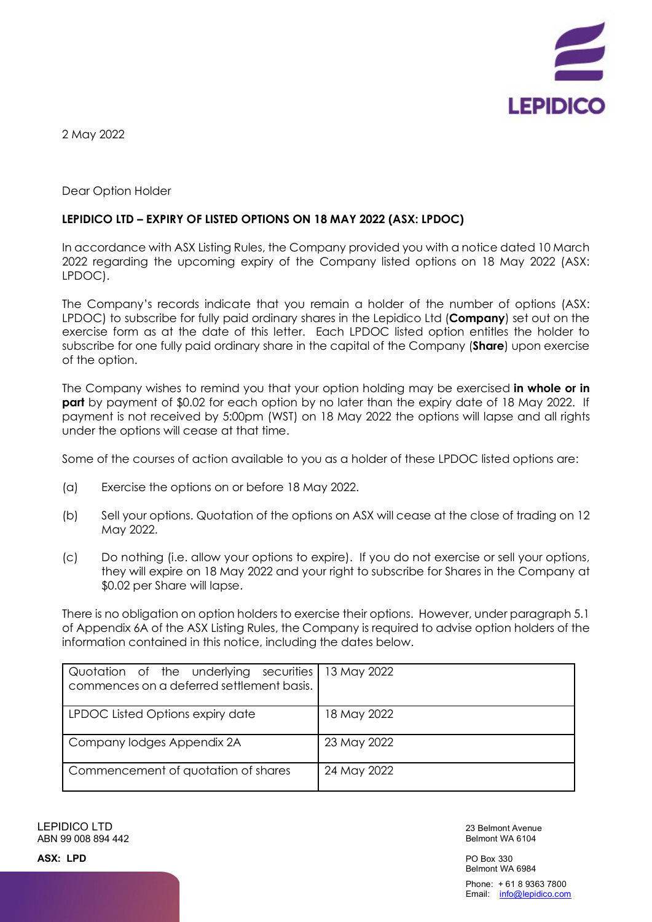

2 May 2022

Dear Option Holder

## **LEPIDICO LTD – EXPIRY OF LISTED OPTIONS ON 18 MAY 2022 (ASX: LPDOC)**

In accordance with ASX Listing Rules, the Company provided you with a notice dated 10 March 2022 regarding the upcoming expiry of the Company listed options on 18 May 2022 (ASX: LPDOC).

The Company's records indicate that you remain a holder of the number of options (ASX: LPDOC) to subscribe for fully paid ordinary shares in the Lepidico Ltd (**Company**) set out on the exercise form as at the date of this letter. Each LPDOC listed option entitles the holder to subscribe for one fully paid ordinary share in the capital of the Company (**Share**) upon exercise of the option.

The Company wishes to remind you that your option holding may be exercised **in whole or in part** by payment of \$0.02 for each option by no later than the expiry date of 18 May 2022. If payment is not received by 5:00pm (WST) on 18 May 2022 the options will lapse and all rights under the options will cease at that time.

Some of the courses of action available to you as a holder of these LPDOC listed options are:

- (a) Exercise the options on or before 18 May 2022.
- (b) Sell your options. Quotation of the options on ASX will cease at the close of trading on 12 May 2022.
- (c) Do nothing (i.e. allow your options to expire). If you do not exercise or sell your options, they will expire on 18 May 2022 and your right to subscribe for Shares in the Company at \$0.02 per Share will lapse.

There is no obligation on option holders to exercise their options. However, under paragraph 5.1 of Appendix 6A of the ASX Listing Rules, the Company is required to advise option holders of the information contained in this notice, including the dates below.

| Quotation of the underlying securities 13 May 2022<br>commences on a deferred settlement basis. |             |
|-------------------------------------------------------------------------------------------------|-------------|
| LPDOC Listed Options expiry date                                                                | 18 May 2022 |
| Company lodges Appendix 2A                                                                      | 23 May 2022 |
| Commencement of quotation of shares                                                             | 24 May 2022 |

LEPIDICO LTD ABN 99 008 894 442

23 Belmont Avenue Belmont WA 6104

PO Box 330 Belmont WA 6984

Phone: + 61 8 9363 7800 Email: info@lepidico.com

**ASX: LPD**